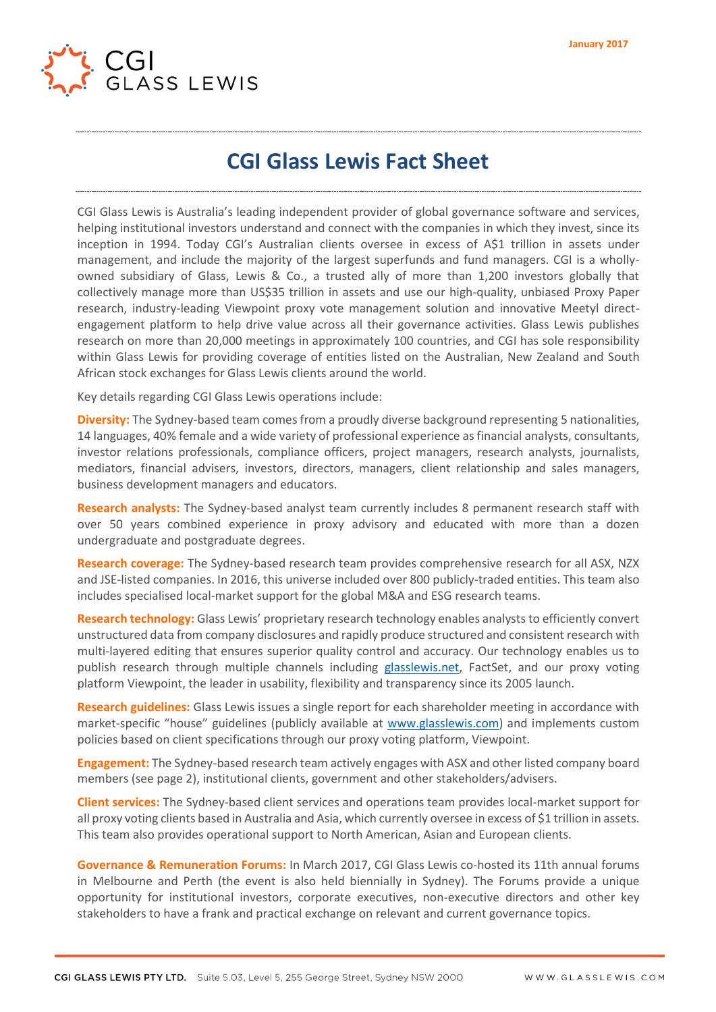

## **CGI Glass Lewis Fact Sheet**

CGI Glass Lewis is Australia's leading independent provider of global governance software and services, helping institutional investors understand and connect with the companies in which they invest, since its inception in 1994. Today CGI's Australian clients oversee in excess of A\$1 trillion in assets under management, and include the majority of the largest superfunds and fund managers. CGI is a whollyowned subsidiary of Glass, Lewis & Co., a trusted ally of more than 1,200 investors globally that collectively manage more than US\$35 trillion in assets and use our high-quality, unbiased Proxy Paper research, industry-leading Viewpoint proxy vote management solution and innovative Meetyl directengagement platform to help drive value across all their governance activities. Glass Lewis publishes research on more than 20,000 meetings in approximately 100 countries, and CGI has sole responsibility within Glass Lewis for providing coverage of entities listed on the Australian, New Zealand and South African stock exchanges for Glass Lewis clients around the world.

Key details regarding CGI Glass Lewis operations include:

**Diversity:** The Sydney-based team comes from a proudly diverse background representing 5 nationalities, 14 languages, 40% female and a wide variety of professional experience as financial analysts, consultants, investor relations professionals, compliance officers, project managers, research analysts, journalists, mediators, financial advisers, investors, directors, managers, client relationship and sales managers, business development managers and educators.

**Research analysts:** The Sydney-based analyst team currently includes 8 permanent research staff with over 50 years combined experience in proxy advisory and educated with more than a dozen undergraduate and postgraduate degrees.

**Research coverage:** The Sydney-based research team provides comprehensive research for all ASX, NZX and JSE-listed companies. In 2016, this universe included over 800 publicly-traded entities. This team also includes specialised local-market support for the global M&A and ESG research teams.

**Research technology:** Glass Lewis' proprietary research technology enables analysts to efficiently convert unstructured data from company disclosures and rapidly produce structured and consistent research with multi-layered editing that ensures superior quality control and accuracy. Our technology enables us to publish research through multiple channels including [glasslewis.net,](http://glasslewis.net/) FactSet, and our proxy voting platform Viewpoint, the leader in usability, flexibility and transparency since its 2005 launch.

**Research guidelines:** Glass Lewis issues a single report for each shareholder meeting in accordance with market-specific "house" guidelines (publicly available at [www.glasslewis.com\)](file://///jackson.glasslewis.com/SYD_Pub/Marketing/CGI%20Fact%20Sheets/www.glasslewis.com) and implements custom policies based on client specifications through our proxy voting platform, Viewpoint.

**Engagement:** The Sydney-based research team actively engages with ASX and other listed company board members (see page 2), institutional clients, government and other stakeholders/advisers.

**Client services:** The Sydney-based client services and operations team provides local-market support for all proxy voting clients based in Australia and Asia, which currently oversee in excess of \$1 trillion in assets. This team also provides operational support to North American, Asian and European clients.

**Governance & Remuneration Forums:** In March 2017, CGI Glass Lewis co-hosted its 11th annual forums in Melbourne and Perth (the event is also held biennially in Sydney). The Forums provide a unique opportunity for institutional investors, corporate executives, non-executive directors and other key stakeholders to have a frank and practical exchange on relevant and current governance topics.